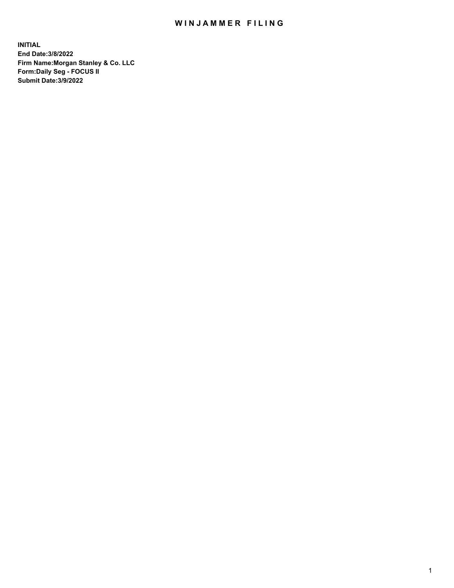## WIN JAMMER FILING

**INITIAL End Date:3/8/2022 Firm Name:Morgan Stanley & Co. LLC Form:Daily Seg - FOCUS II Submit Date:3/9/2022**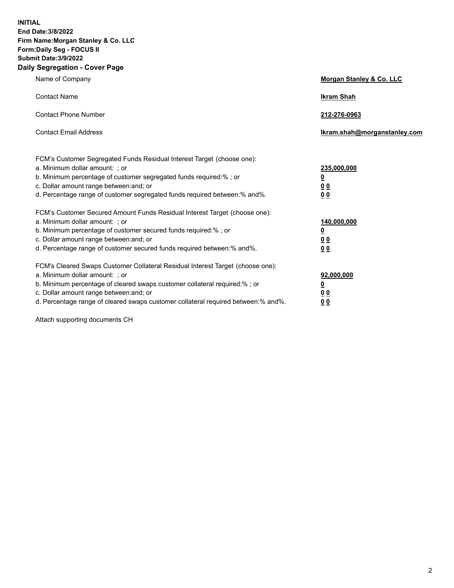**INITIAL End Date:3/8/2022 Firm Name:Morgan Stanley & Co. LLC Form:Daily Seg - FOCUS II Submit Date:3/9/2022 Daily Segregation - Cover Page**

| Name of Company                                                                                                                                                                                                                                                                                                                | Morgan Stanley & Co. LLC                                    |
|--------------------------------------------------------------------------------------------------------------------------------------------------------------------------------------------------------------------------------------------------------------------------------------------------------------------------------|-------------------------------------------------------------|
| <b>Contact Name</b>                                                                                                                                                                                                                                                                                                            | <b>Ikram Shah</b>                                           |
| <b>Contact Phone Number</b>                                                                                                                                                                                                                                                                                                    | 212-276-0963                                                |
| <b>Contact Email Address</b>                                                                                                                                                                                                                                                                                                   | Ikram.shah@morganstanley.com                                |
| FCM's Customer Segregated Funds Residual Interest Target (choose one):<br>a. Minimum dollar amount: ; or<br>b. Minimum percentage of customer segregated funds required:% ; or<br>c. Dollar amount range between: and; or<br>d. Percentage range of customer segregated funds required between: % and %.                       | 235,000,000<br><u>0</u><br>0 Q<br>0 <sub>0</sub>            |
| FCM's Customer Secured Amount Funds Residual Interest Target (choose one):<br>a. Minimum dollar amount: ; or<br>b. Minimum percentage of customer secured funds required:%; or<br>c. Dollar amount range between: and; or<br>d. Percentage range of customer secured funds required between:% and%.                            | 140,000,000<br><u>0</u><br>0 <sub>0</sub><br>0 <sub>0</sub> |
| FCM's Cleared Swaps Customer Collateral Residual Interest Target (choose one):<br>a. Minimum dollar amount: ; or<br>b. Minimum percentage of cleared swaps customer collateral required:% ; or<br>c. Dollar amount range between: and; or<br>d. Percentage range of cleared swaps customer collateral required between:% and%. | 92,000,000<br><u>0</u><br>0 Q<br>0 <sub>0</sub>             |

Attach supporting documents CH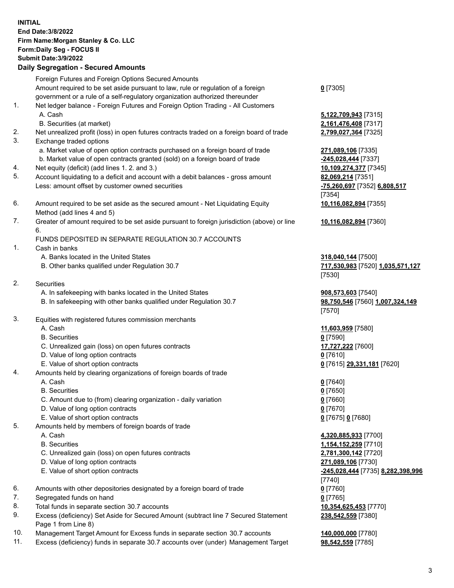|    | <b>INITIAL</b><br>End Date: 3/8/2022<br>Firm Name: Morgan Stanley & Co. LLC<br>Form: Daily Seg - FOCUS II<br><b>Submit Date: 3/9/2022</b><br><b>Daily Segregation - Secured Amounts</b>                                                             |                             |
|----|-----------------------------------------------------------------------------------------------------------------------------------------------------------------------------------------------------------------------------------------------------|-----------------------------|
|    | Foreign Futures and Foreign Options Secured Amounts                                                                                                                                                                                                 |                             |
| 1. | Amount required to be set aside pursuant to law, rule or regulation of a foreign<br>government or a rule of a self-regulatory organization authorized thereunder<br>Net ledger balance - Foreign Futures and Foreign Option Trading - All Customers | $0$ [7305]                  |
|    | A. Cash                                                                                                                                                                                                                                             | 5,122,70                    |
| 2. | B. Securities (at market)<br>Net unrealized profit (loss) in open futures contracts traded on a foreign board of trade                                                                                                                              | 2,161,47<br>2,799,02        |
| 3. | Exchange traded options                                                                                                                                                                                                                             |                             |
|    | a. Market value of open option contracts purchased on a foreign board of trade<br>b. Market value of open contracts granted (sold) on a foreign board of trade                                                                                      | 271,089<br>$-245,028$       |
| 4. | Net equity (deficit) (add lines 1.2. and 3.)                                                                                                                                                                                                        | 10,109,2                    |
| 5. | Account liquidating to a deficit and account with a debit balances - gross amount<br>Less: amount offset by customer owned securities                                                                                                               | 82,069,2<br>$-75,260,$      |
|    |                                                                                                                                                                                                                                                     | $[7354]$                    |
| 6. | Amount required to be set aside as the secured amount - Net Liquidating Equity<br>Method (add lines 4 and 5)                                                                                                                                        | 10,116,0                    |
| 7. | Greater of amount required to be set aside pursuant to foreign jurisdiction (above) or line                                                                                                                                                         | 10,116,0                    |
|    | 6.<br>FUNDS DEPOSITED IN SEPARATE REGULATION 30.7 ACCOUNTS                                                                                                                                                                                          |                             |
| 1. | Cash in banks                                                                                                                                                                                                                                       |                             |
|    | A. Banks located in the United States                                                                                                                                                                                                               | 318,040                     |
|    | B. Other banks qualified under Regulation 30.7                                                                                                                                                                                                      | 717,530                     |
|    |                                                                                                                                                                                                                                                     | [7530]                      |
| 2. | <b>Securities</b>                                                                                                                                                                                                                                   |                             |
|    | A. In safekeeping with banks located in the United States                                                                                                                                                                                           | 908,573                     |
|    | B. In safekeeping with other banks qualified under Regulation 30.7                                                                                                                                                                                  | 98,750,5                    |
|    |                                                                                                                                                                                                                                                     | $[7570]$                    |
| 3. | Equities with registered futures commission merchants                                                                                                                                                                                               |                             |
|    | A. Cash<br><b>B.</b> Securities                                                                                                                                                                                                                     | 11,603,9                    |
|    | C. Unrealized gain (loss) on open futures contracts                                                                                                                                                                                                 | <u>0</u> [7590]<br>17,727,2 |
|    | D. Value of long option contracts                                                                                                                                                                                                                   | $0$ [7610]                  |
|    | E. Value of short option contracts                                                                                                                                                                                                                  | $0$ [7615]                  |
| 4. | Amounts held by clearing organizations of foreign boards of trade                                                                                                                                                                                   |                             |
|    | A. Cash                                                                                                                                                                                                                                             | $0$ [7640]                  |
|    | <b>B.</b> Securities                                                                                                                                                                                                                                | $0$ [7650]                  |
|    | C. Amount due to (from) clearing organization - daily variation                                                                                                                                                                                     | $0$ [7660]                  |
|    | D. Value of long option contracts                                                                                                                                                                                                                   | $0$ [7670]                  |
|    | E. Value of short option contracts                                                                                                                                                                                                                  | $0$ [7675]                  |
| 5. | Amounts held by members of foreign boards of trade                                                                                                                                                                                                  |                             |
|    | A. Cash                                                                                                                                                                                                                                             | 4,320,88                    |
|    | <b>B.</b> Securities                                                                                                                                                                                                                                | 1,154,15                    |

- C. Unrealized gain (loss) on open futures contracts **2,781,300,142** [7720]
- D. Value of long option contracts **271,089,106** [7730]
- 
- 6. Amounts with other depositories designated by a foreign board of trade **0** [7760]
- 7. Segregated funds on hand **0** [7765]
- 8. Total funds in separate section 30.7 accounts **10,354,625,453** [7770]
- 9. Excess (deficiency) Set Aside for Secured Amount (subtract line 7 Secured Statement Page 1 from Line 8)
- 10. Management Target Amount for Excess funds in separate section 30.7 accounts **140,000,000** [7780]
- 11. Excess (deficiency) funds in separate 30.7 accounts over (under) Management Target **98,542,559** [7785]

 A. Cash **5,122,709,943** [7315] B. Securities (at market) **2,161,476,408** [7317] 2,799,027,364 [7325]

**271,089,106** [7335] **-245,028,444** [7337] 10,109,274,377 [7345] **82,069,214** [7351] Less: amount offset by customer owned securities **-75,260,697** [7352] **6,808,517** [7354] **10,116,082,894** [7355]

**10,116,082,894** [7360]

**318,040,144** [7500] B. Other banks qualified under Regulation 30.7 **717,530,983** [7520] **1,035,571,127** [7530]

 A. In safekeeping with banks located in the United States **908,573,603** [7540] B. In safekeeping with other banks qualified under Regulation 30.7 **98,750,546** [7560] **1,007,324,149** [7570]

 A. Cash **11,603,959** [7580] C. Unrealized gain (loss) on open futures contracts **17,727,222** [7600] E. Value of short option contracts **0** [7615] **29,331,181** [7620]

E. Value of short option contracts **0** [7675] **0** [7680]

 A. Cash **4,320,885,933** [7700] B. Securities **1,154,152,259** [7710] E. Value of short option contracts **-245,028,444** [7735] **8,282,398,996** [7740] **238,542,559** [7380]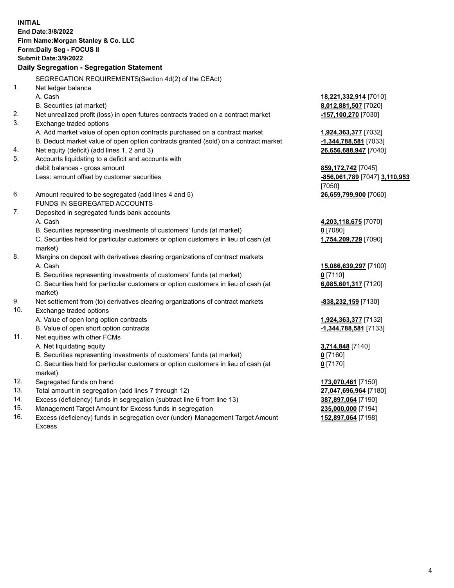**INITIAL End Date:3/8/2022 Firm Name:Morgan Stanley & Co. LLC Form:Daily Seg - FOCUS II Submit Date:3/9/2022 Daily Segregation - Segregation Statement** SEGREGATION REQUIREMENTS(Section 4d(2) of the CEAct) 1. Net ledger balance A. Cash **18,221,332,914** [7010] B. Securities (at market) **8,012,881,507** [7020] 2. Net unrealized profit (loss) in open futures contracts traded on a contract market **-157,100,270** [7030] 3. Exchange traded options A. Add market value of open option contracts purchased on a contract market **1,924,363,377** [7032] B. Deduct market value of open option contracts granted (sold) on a contract market **-1,344,788,581** [7033] 4. Net equity (deficit) (add lines 1, 2 and 3) **26,656,688,947** [7040] 5. Accounts liquidating to a deficit and accounts with debit balances - gross amount **859,172,742** [7045] Less: amount offset by customer securities **-856,061,789** [7047] **3,110,953** [7050] 6. Amount required to be segregated (add lines 4 and 5) **26,659,799,900** [7060] FUNDS IN SEGREGATED ACCOUNTS 7. Deposited in segregated funds bank accounts A. Cash **4,203,118,675** [7070] B. Securities representing investments of customers' funds (at market) **0** [7080] C. Securities held for particular customers or option customers in lieu of cash (at market) **1,754,209,729** [7090] 8. Margins on deposit with derivatives clearing organizations of contract markets A. Cash **15,086,639,297** [7100] B. Securities representing investments of customers' funds (at market) **0** [7110] C. Securities held for particular customers or option customers in lieu of cash (at market) **6,085,601,317** [7120] 9. Net settlement from (to) derivatives clearing organizations of contract markets **-838,232,159** [7130] 10. Exchange traded options A. Value of open long option contracts **1,924,363,377** [7132] B. Value of open short option contracts **-1,344,788,581** [7133] 11. Net equities with other FCMs A. Net liquidating equity **3,714,848** [7140] B. Securities representing investments of customers' funds (at market) **0** [7160] C. Securities held for particular customers or option customers in lieu of cash (at market) **0** [7170] 12. Segregated funds on hand **173,070,461** [7150] 13. Total amount in segregation (add lines 7 through 12) **27,047,696,964** [7180] 14. Excess (deficiency) funds in segregation (subtract line 6 from line 13) **387,897,064** [7190]

- 15. Management Target Amount for Excess funds in segregation **235,000,000** [7194]
- 16. Excess (deficiency) funds in segregation over (under) Management Target Amount Excess

**152,897,064** [7198]